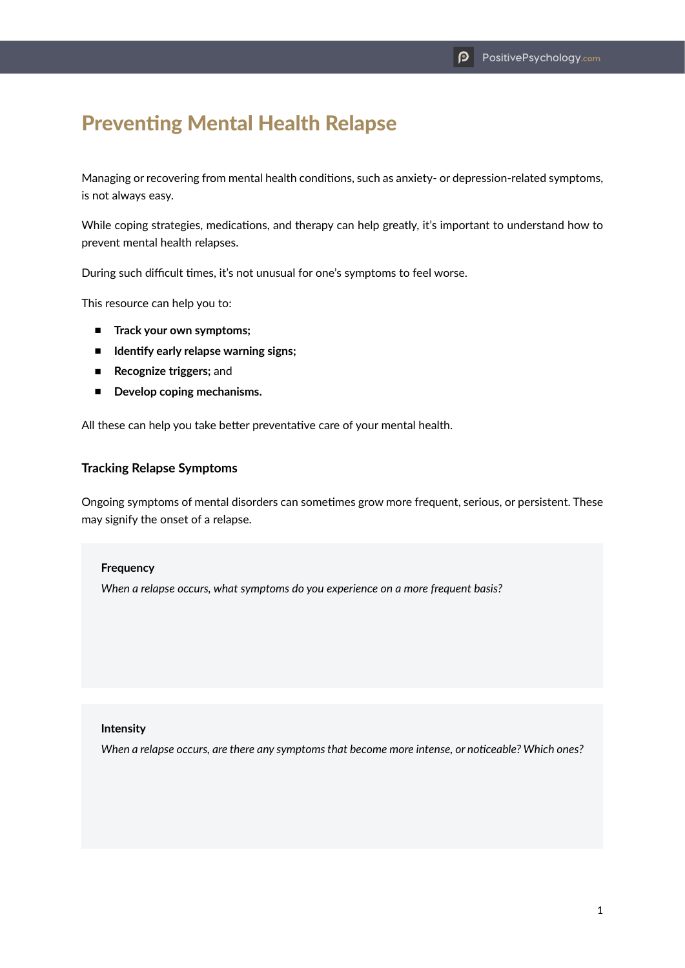# Preventing Mental Health Relapse

Managing or recovering from mental health conditions, such as anxiety- or depression-related symptoms, is not always easy.

While coping strategies, medications, and therapy can help greatly, it's important to understand how to prevent mental health relapses.

During such difficult times, it's not unusual for one's symptoms to feel worse.

This resource can help you to:

- **Track your own symptoms;**
- **Identify early relapse warning signs;**
- **Recognize triggers;** and
- **Develop coping mechanisms.**

All these can help you take better preventative care of your mental health.

#### **Tracking Relapse Symptoms**

Ongoing symptoms of mental disorders can sometimes grow more frequent, serious, or persistent. These may signify the onset of a relapse.

#### **Frequency**

*When a relapse occurs, what symptoms do you experience on a more frequent basis?*

#### **Intensity**

*When a relapse occurs, are there any symptoms that become more intense, or noticeable? Which ones?*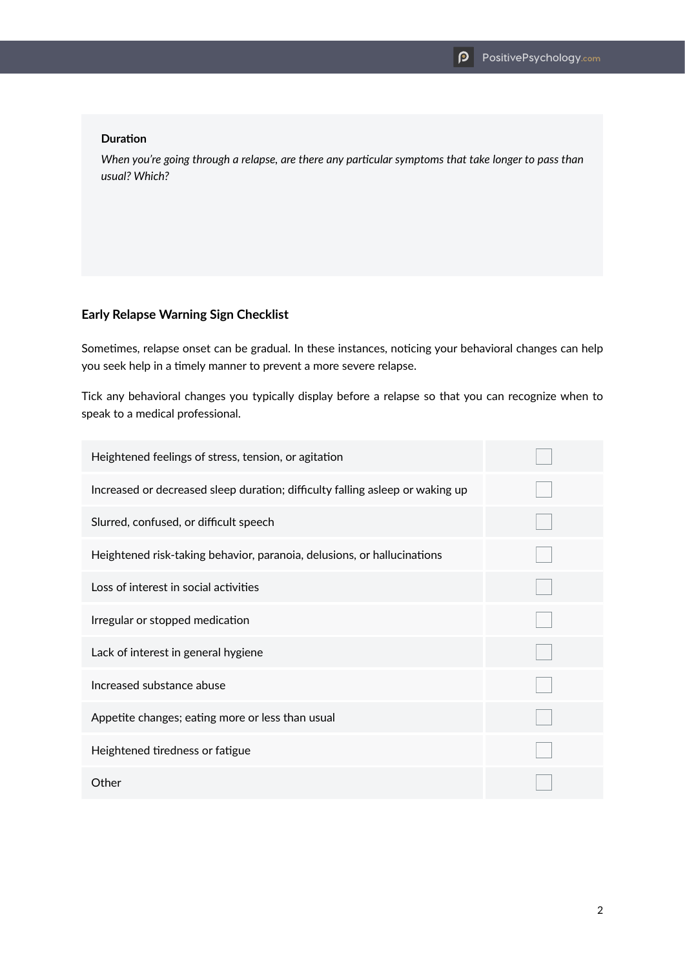#### **Duration**

*When you're going through a relapse, are there any particular symptoms that take longer to pass than usual? Which?*

#### **Early Relapse Warning Sign Checklist**

Sometimes, relapse onset can be gradual. In these instances, noticing your behavioral changes can help you seek help in a timely manner to prevent a more severe relapse.

Tick any behavioral changes you typically display before a relapse so that you can recognize when to speak to a medical professional.

| Heightened feelings of stress, tension, or agitation                          |  |
|-------------------------------------------------------------------------------|--|
| Increased or decreased sleep duration; difficulty falling asleep or waking up |  |
| Slurred, confused, or difficult speech                                        |  |
| Heightened risk-taking behavior, paranoia, delusions, or hallucinations       |  |
| Loss of interest in social activities                                         |  |
| Irregular or stopped medication                                               |  |
| Lack of interest in general hygiene                                           |  |
| Increased substance abuse                                                     |  |
| Appetite changes; eating more or less than usual                              |  |
| Heightened tiredness or fatigue                                               |  |
| Other                                                                         |  |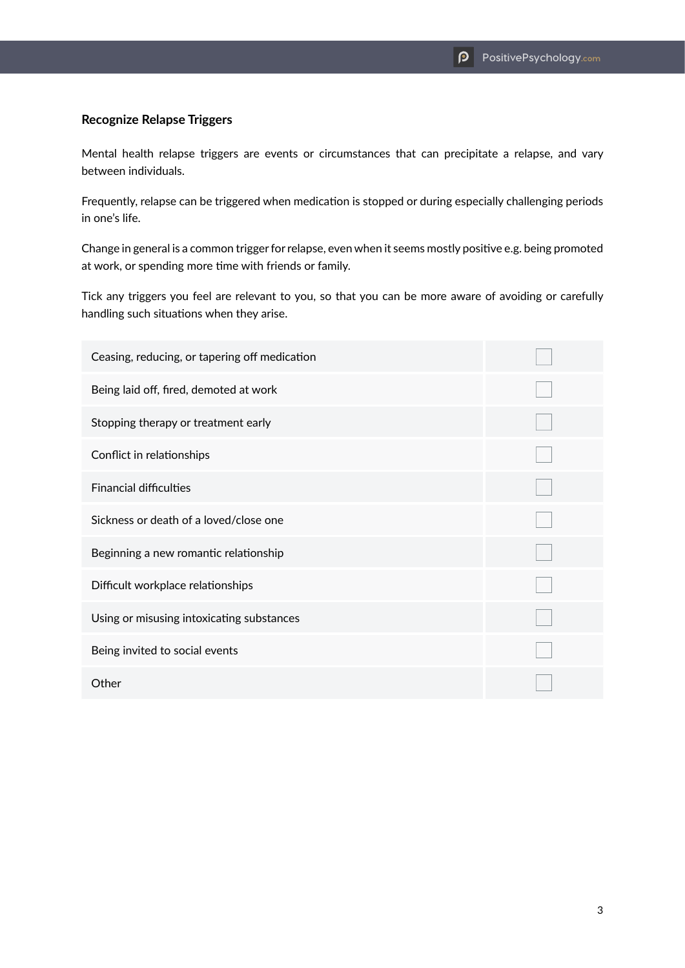### **Recognize Relapse Triggers**

Mental health relapse triggers are events or circumstances that can precipitate a relapse, and vary between individuals.

Frequently, relapse can be triggered when medication is stopped or during especially challenging periods in one's life.

Change in general is a common trigger for relapse, even when it seems mostly positive e.g. being promoted at work, or spending more time with friends or family.

Tick any triggers you feel are relevant to you, so that you can be more aware of avoiding or carefully handling such situations when they arise.

| Ceasing, reducing, or tapering off medication |  |
|-----------------------------------------------|--|
| Being laid off, fired, demoted at work        |  |
| Stopping therapy or treatment early           |  |
| Conflict in relationships                     |  |
| <b>Financial difficulties</b>                 |  |
| Sickness or death of a loved/close one        |  |
| Beginning a new romantic relationship         |  |
| Difficult workplace relationships             |  |
| Using or misusing intoxicating substances     |  |
| Being invited to social events                |  |
| Other                                         |  |